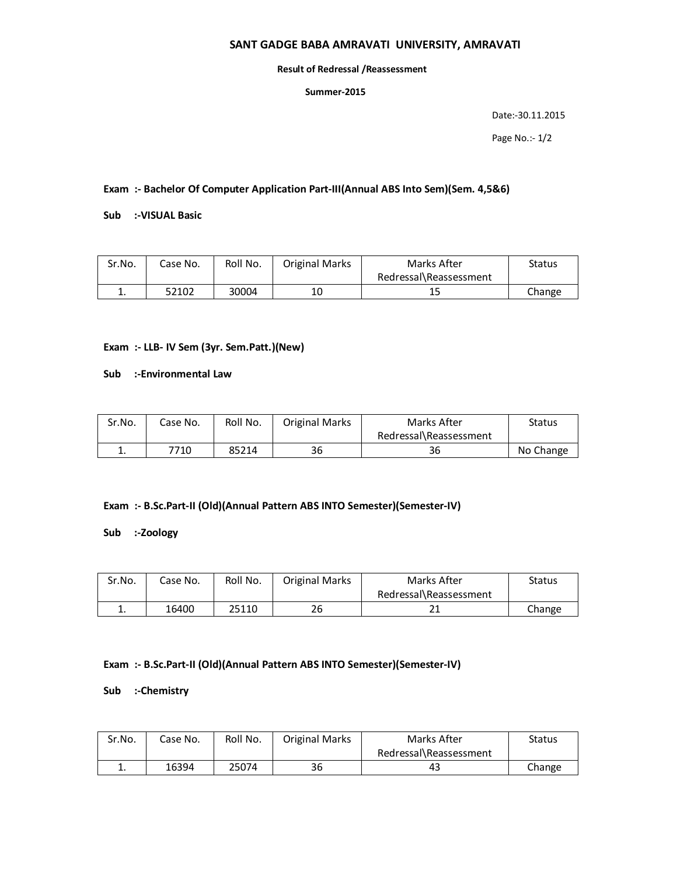# **SANT GADGE BABA AMRAVATI UNIVERSITY, AMRAVATI**

#### **Result of Redressal /Reassessment**

### **Summer-2015**

Date:-30.11.2015

Page No.:- 1/2

**Exam :- Bachelor Of Computer Application Part-III(Annual ABS Into Sem)(Sem. 4,5&6)**

**Sub :-VISUAL Basic**

| Sr.No.   | Case No. | Roll No. | <b>Original Marks</b> | Marks After            | Status |
|----------|----------|----------|-----------------------|------------------------|--------|
|          |          |          |                       | Redressal\Reassessment |        |
| <b>.</b> | 52102    | 30004    | 10                    | 15                     | Change |

# **Exam :- LLB- IV Sem (3yr. Sem.Patt.)(New)**

**Sub :-Environmental Law**

| Sr.No.   | Case No. | Roll No. | Original Marks | Marks After            | Status    |
|----------|----------|----------|----------------|------------------------|-----------|
|          |          |          |                | Redressal\Reassessment |           |
| <b>.</b> | 7710     | 85214    | 36             | 36                     | No Change |

# **Exam :- B.Sc.Part-II (Old)(Annual Pattern ABS INTO Semester)(Semester-IV)**

**Sub :-Zoology**

| Sr.No.   | Case No. | Roll No. | <b>Original Marks</b> | Marks After            | Status |
|----------|----------|----------|-----------------------|------------------------|--------|
|          |          |          |                       | Redressal\Reassessment |        |
| <b>.</b> | 16400    | 25110    | 26                    | วา                     | Change |

### **Exam :- B.Sc.Part-II (Old)(Annual Pattern ABS INTO Semester)(Semester-IV)**

**Sub :-Chemistry**

| Sr.No. | Case No. | Roll No. | <b>Original Marks</b> | Marks After            | Status |
|--------|----------|----------|-----------------------|------------------------|--------|
|        |          |          |                       | Redressal\Reassessment |        |
|        | 16394    | 25074    | 36                    | 43                     | Change |